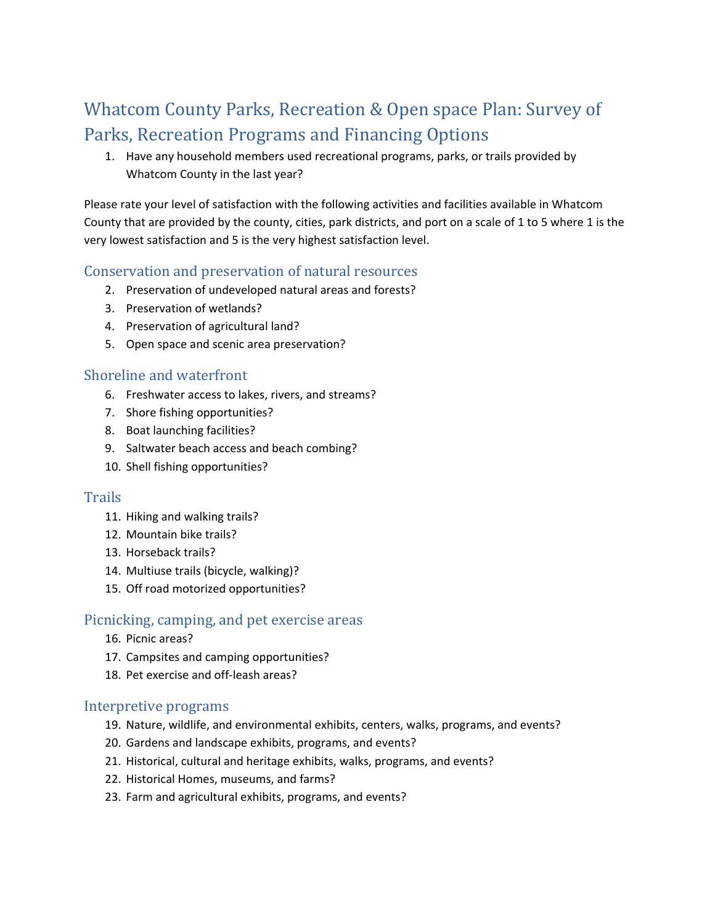# Whatcom County Parks, Recreation & Open space Plan: Survey of Parks, Recreation Programs and Financing Options

1. Have any household members used recreational programs, parks, or trails provided by Whatcom County in the last year?

Please rate your level of satisfaction with the following activities and facilities available in Whatcom County that are provided by the county, cities, park districts, and port on a scale of 1 to 5 where 1 is the very lowest satisfaction and 5 is the very highest satisfaction level.

## Conservation and preservation of natural resources

- 2. Preservation of undeveloped natural areas and forests?
- 3. Preservation of wetlands?
- 4. Preservation of agricultural land?
- 5. Open space and scenic area preservation?

## Shoreline and waterfront

- 6. Freshwater access to lakes, rivers, and streams?
- 7. Shore fishing opportunities?
- 8. Boat launching facilities?
- 9. Saltwater beach access and beach combing?
- 10. Shell fishing opportunities?

#### **Trails**

- 11. Hiking and walking trails?
- 12. Mountain bike trails?
- 13. Horseback trails?
- 14. Multiuse trails (bicycle, walking)?
- 15. Off road motorized opportunities?

#### Picnicking, camping, and pet exercise areas

- 16. Picnic areas?
- 17. Campsites and camping opportunities?
- 18. Pet exercise and off-leash areas?

#### Interpretive programs

- 19. Nature, wildlife, and environmental exhibits, centers, walks, programs, and events?
- 20. Gardens and landscape exhibits, programs, and events?
- 21. Historical, cultural and heritage exhibits, walks, programs, and events?
- 22. Historical Homes, museums, and farms?
- 23. Farm and agricultural exhibits, programs, and events?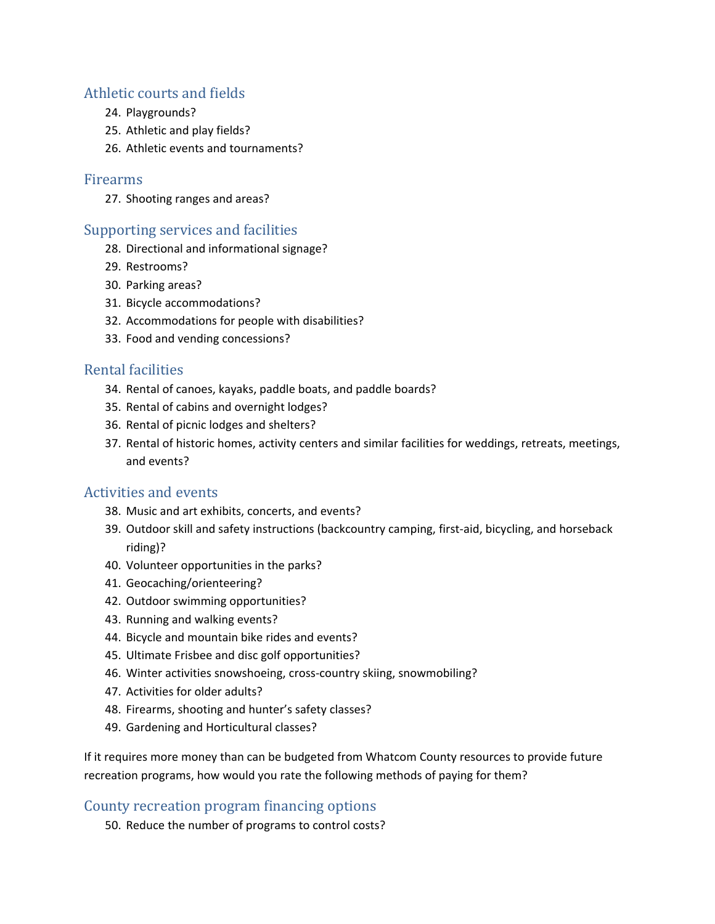## Athletic courts and fields

- 24. Playgrounds?
- 25. Athletic and play fields?
- 26. Athletic events and tournaments?

#### Firearms

27. Shooting ranges and areas?

#### Supporting services and facilities

- 28. Directional and informational signage?
- 29. Restrooms?
- 30. Parking areas?
- 31. Bicycle accommodations?
- 32. Accommodations for people with disabilities?
- 33. Food and vending concessions?

## Rental facilities

- 34. Rental of canoes, kayaks, paddle boats, and paddle boards?
- 35. Rental of cabins and overnight lodges?
- 36. Rental of picnic lodges and shelters?
- 37. Rental of historic homes, activity centers and similar facilities for weddings, retreats, meetings, and events?

# Activities and events

- 38. Music and art exhibits, concerts, and events?
- 39. Outdoor skill and safety instructions (backcountry camping, first‐aid, bicycling, and horseback riding)?
- 40. Volunteer opportunities in the parks?
- 41. Geocaching/orienteering?
- 42. Outdoor swimming opportunities?
- 43. Running and walking events?
- 44. Bicycle and mountain bike rides and events?
- 45. Ultimate Frisbee and disc golf opportunities?
- 46. Winter activities snowshoeing, cross-country skiing, snowmobiling?
- 47. Activities for older adults?
- 48. Firearms, shooting and hunter's safety classes?
- 49. Gardening and Horticultural classes?

If it requires more money than can be budgeted from Whatcom County resources to provide future recreation programs, how would you rate the following methods of paying for them?

# County recreation program financing options

50. Reduce the number of programs to control costs?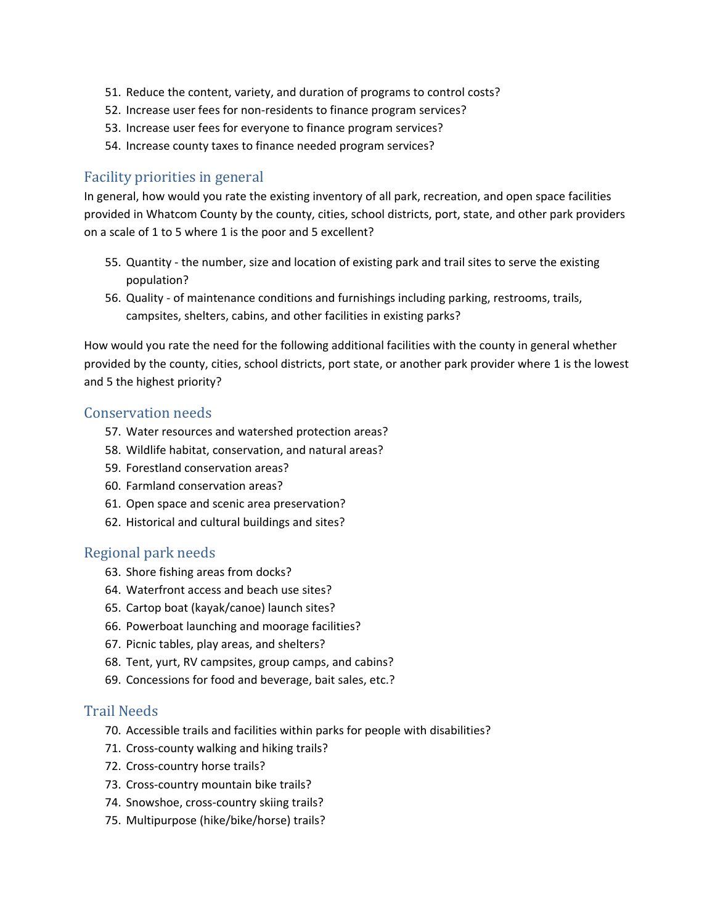- 51. Reduce the content, variety, and duration of programs to control costs?
- 52. Increase user fees for non-residents to finance program services?
- 53. Increase user fees for everyone to finance program services?
- 54. Increase county taxes to finance needed program services?

#### Facility priorities in general

In general, how would you rate the existing inventory of all park, recreation, and open space facilities provided in Whatcom County by the county, cities, school districts, port, state, and other park providers on a scale of 1 to 5 where 1 is the poor and 5 excellent?

- 55. Quantity the number, size and location of existing park and trail sites to serve the existing population?
- 56. Quality ‐ of maintenance conditions and furnishings including parking, restrooms, trails, campsites, shelters, cabins, and other facilities in existing parks?

How would you rate the need for the following additional facilities with the county in general whether provided by the county, cities, school districts, port state, or another park provider where 1 is the lowest and 5 the highest priority?

#### Conservation needs

- 57. Water resources and watershed protection areas?
- 58. Wildlife habitat, conservation, and natural areas?
- 59. Forestland conservation areas?
- 60. Farmland conservation areas?
- 61. Open space and scenic area preservation?
- 62. Historical and cultural buildings and sites?

#### Regional park needs

- 63. Shore fishing areas from docks?
- 64. Waterfront access and beach use sites?
- 65. Cartop boat (kayak/canoe) launch sites?
- 66. Powerboat launching and moorage facilities?
- 67. Picnic tables, play areas, and shelters?
- 68. Tent, yurt, RV campsites, group camps, and cabins?
- 69. Concessions for food and beverage, bait sales, etc.?

#### Trail Needs

- 70. Accessible trails and facilities within parks for people with disabilities?
- 71. Cross-county walking and hiking trails?
- 72. Cross‐country horse trails?
- 73. Cross‐country mountain bike trails?
- 74. Snowshoe, cross-country skiing trails?
- 75. Multipurpose (hike/bike/horse) trails?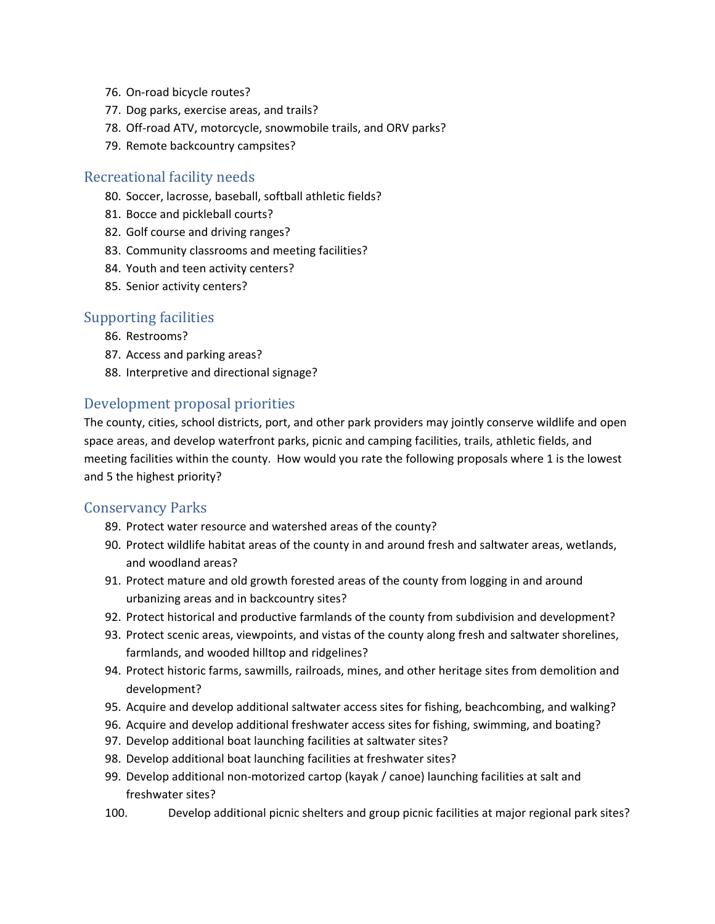- 76. On‐road bicycle routes?
- 77. Dog parks, exercise areas, and trails?
- 78. Off-road ATV, motorcycle, snowmobile trails, and ORV parks?
- 79. Remote backcountry campsites?

#### Recreational facility needs

- 80. Soccer, lacrosse, baseball, softball athletic fields?
- 81. Bocce and pickleball courts?
- 82. Golf course and driving ranges?
- 83. Community classrooms and meeting facilities?
- 84. Youth and teen activity centers?
- 85. Senior activity centers?

#### Supporting facilities

- 86. Restrooms?
- 87. Access and parking areas?
- 88. Interpretive and directional signage?

#### Development proposal priorities

The county, cities, school districts, port, and other park providers may jointly conserve wildlife and open space areas, and develop waterfront parks, picnic and camping facilities, trails, athletic fields, and meeting facilities within the county. How would you rate the following proposals where 1 is the lowest and 5 the highest priority?

#### Conservancy Parks

- 89. Protect water resource and watershed areas of the county?
- 90. Protect wildlife habitat areas of the county in and around fresh and saltwater areas, wetlands, and woodland areas?
- 91. Protect mature and old growth forested areas of the county from logging in and around urbanizing areas and in backcountry sites?
- 92. Protect historical and productive farmlands of the county from subdivision and development?
- 93. Protect scenic areas, viewpoints, and vistas of the county along fresh and saltwater shorelines, farmlands, and wooded hilltop and ridgelines?
- 94. Protect historic farms, sawmills, railroads, mines, and other heritage sites from demolition and development?
- 95. Acquire and develop additional saltwater access sites for fishing, beachcombing, and walking?
- 96. Acquire and develop additional freshwater access sites for fishing, swimming, and boating?
- 97. Develop additional boat launching facilities at saltwater sites?
- 98. Develop additional boat launching facilities at freshwater sites?
- 99. Develop additional non-motorized cartop (kayak / canoe) launching facilities at salt and freshwater sites?
- 100. Develop additional picnic shelters and group picnic facilities at major regional park sites?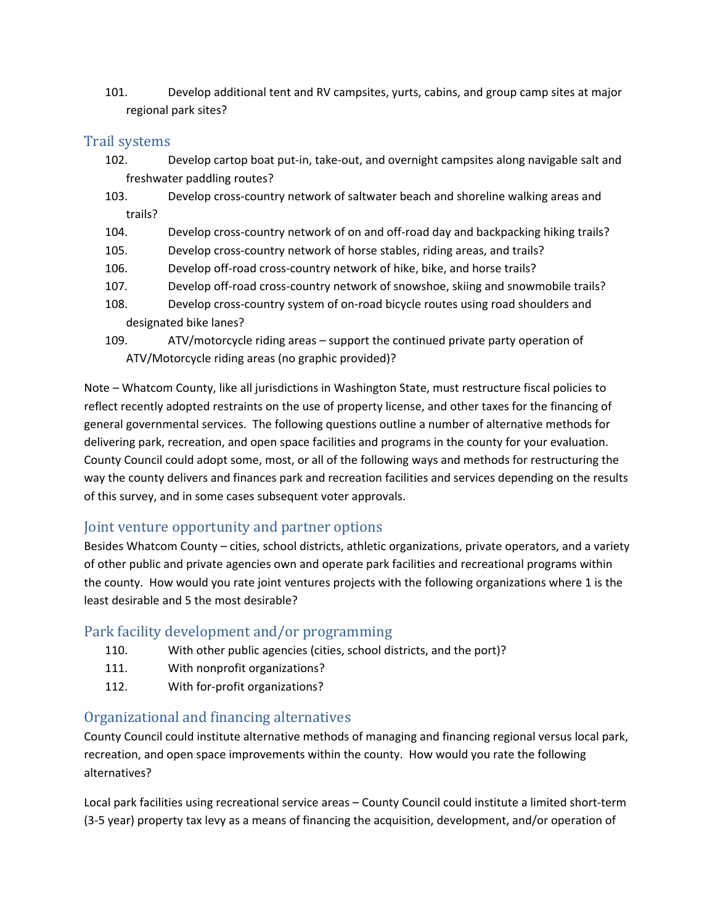101. Develop additional tent and RV campsites, yurts, cabins, and group camp sites at major regional park sites?

### Trail systems

- 102. Develop cartop boat put-in, take-out, and overnight campsites along navigable salt and freshwater paddling routes?
- 103. Develop cross‐country network of saltwater beach and shoreline walking areas and trails?
- 104. Develop cross‐country network of on and off‐road day and backpacking hiking trails?
- 105. Develop cross‐country network of horse stables, riding areas, and trails?
- 106. Develop off-road cross-country network of hike, bike, and horse trails?
- 107. Develop off‐road cross‐country network of snowshoe, skiing and snowmobile trails?
- 108. Develop cross-country system of on-road bicycle routes using road shoulders and designated bike lanes?
- 109. ATV/motorcycle riding areas support the continued private party operation of ATV/Motorcycle riding areas (no graphic provided)?

Note – Whatcom County, like all jurisdictions in Washington State, must restructure fiscal policies to reflect recently adopted restraints on the use of property license, and other taxes for the financing of general governmental services. The following questions outline a number of alternative methods for delivering park, recreation, and open space facilities and programs in the county for your evaluation. County Council could adopt some, most, or all of the following ways and methods for restructuring the way the county delivers and finances park and recreation facilities and services depending on the results of this survey, and in some cases subsequent voter approvals.

# Joint venture opportunity and partner options

Besides Whatcom County – cities, school districts, athletic organizations, private operators, and a variety of other public and private agencies own and operate park facilities and recreational programs within the county. How would you rate joint ventures projects with the following organizations where 1 is the least desirable and 5 the most desirable?

# Park facility development and/or programming

- 110. With other public agencies (cities, school districts, and the port)?
- 111. With nonprofit organizations?
- 112. With for-profit organizations?

# Organizational and financing alternatives

County Council could institute alternative methods of managing and financing regional versus local park, recreation, and open space improvements within the county. How would you rate the following alternatives?

Local park facilities using recreational service areas – County Council could institute a limited short‐term (3‐5 year) property tax levy as a means of financing the acquisition, development, and/or operation of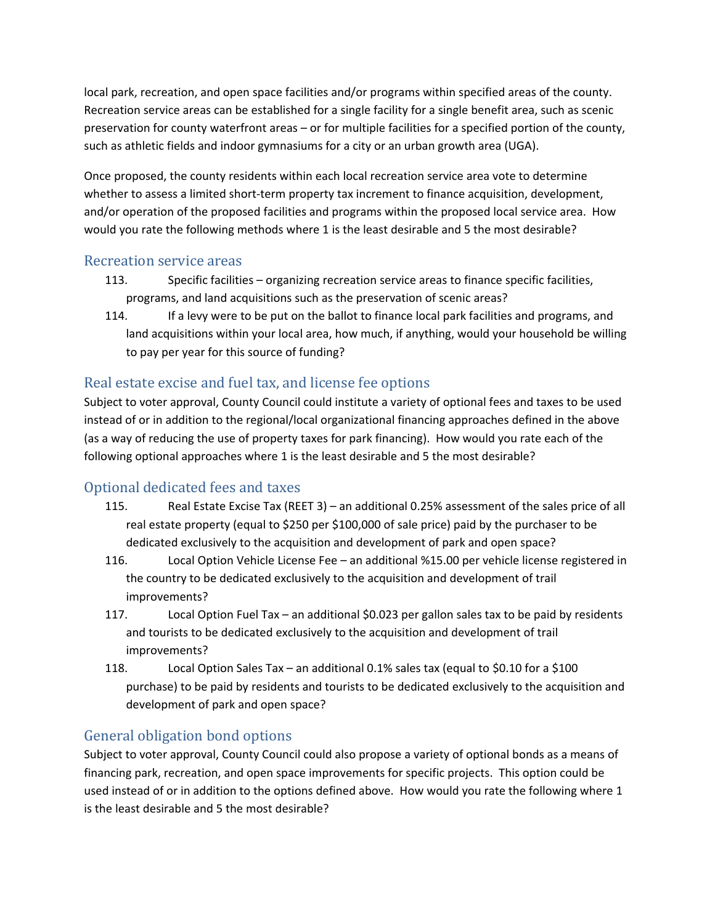local park, recreation, and open space facilities and/or programs within specified areas of the county. Recreation service areas can be established for a single facility for a single benefit area, such as scenic preservation for county waterfront areas – or for multiple facilities for a specified portion of the county, such as athletic fields and indoor gymnasiums for a city or an urban growth area (UGA).

Once proposed, the county residents within each local recreation service area vote to determine whether to assess a limited short-term property tax increment to finance acquisition, development, and/or operation of the proposed facilities and programs within the proposed local service area. How would you rate the following methods where 1 is the least desirable and 5 the most desirable?

#### Recreation service areas

- 113. Specific facilities organizing recreation service areas to finance specific facilities, programs, and land acquisitions such as the preservation of scenic areas?
- 114. If a levy were to be put on the ballot to finance local park facilities and programs, and land acquisitions within your local area, how much, if anything, would your household be willing to pay per year for this source of funding?

# Real estate excise and fuel tax, and license fee options

Subject to voter approval, County Council could institute a variety of optional fees and taxes to be used instead of or in addition to the regional/local organizational financing approaches defined in the above (as a way of reducing the use of property taxes for park financing). How would you rate each of the following optional approaches where 1 is the least desirable and 5 the most desirable?

# Optional dedicated fees and taxes

- 115. Real Estate Excise Tax (REET 3) an additional 0.25% assessment of the sales price of all real estate property (equal to \$250 per \$100,000 of sale price) paid by the purchaser to be dedicated exclusively to the acquisition and development of park and open space?
- 116. Local Option Vehicle License Fee an additional %15.00 per vehicle license registered in the country to be dedicated exclusively to the acquisition and development of trail improvements?
- 117. Local Option Fuel Tax an additional \$0.023 per gallon sales tax to be paid by residents and tourists to be dedicated exclusively to the acquisition and development of trail improvements?
- 118. Local Option Sales Tax an additional 0.1% sales tax (equal to \$0.10 for a \$100 purchase) to be paid by residents and tourists to be dedicated exclusively to the acquisition and development of park and open space?

# General obligation bond options

Subject to voter approval, County Council could also propose a variety of optional bonds as a means of financing park, recreation, and open space improvements for specific projects. This option could be used instead of or in addition to the options defined above. How would you rate the following where 1 is the least desirable and 5 the most desirable?